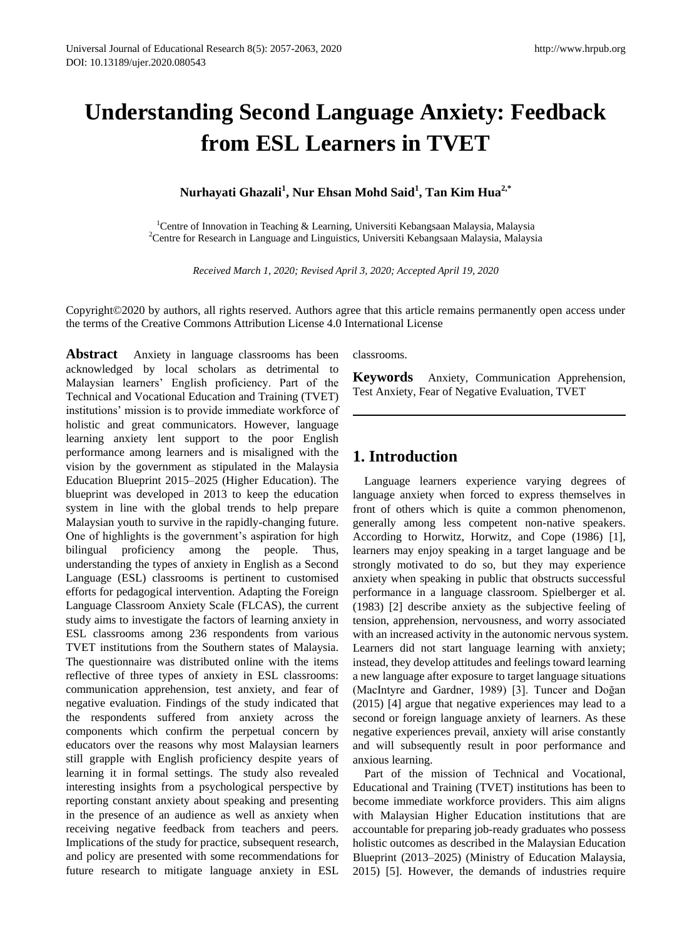# **Understanding Second Language Anxiety: Feedback from ESL Learners in TVET**

**Nurhayati Ghazali<sup>1</sup> , Nur Ehsan Mohd Said<sup>1</sup> , Tan Kim Hua2,\*** 

<sup>1</sup>Centre of Innovation in Teaching & Learning, Universiti Kebangsaan Malaysia, Malaysia <sup>2</sup>Centre for Research in Language and Linguistics, Universiti Kebangsaan Malaysia, Malaysia

*Received March 1, 2020; Revised April 3, 2020; Accepted April 19, 2020*

Copyright©2020 by authors, all rights reserved. Authors agree that this article remains permanently open access under the terms of the Creative Commons Attribution License 4.0 International License

**Abstract** Anxiety in language classrooms has been acknowledged by local scholars as detrimental to Malaysian learners' English proficiency. Part of the Technical and Vocational Education and Training (TVET) institutions' mission is to provide immediate workforce of holistic and great communicators. However, language learning anxiety lent support to the poor English performance among learners and is misaligned with the vision by the government as stipulated in the Malaysia Education Blueprint 2015–2025 (Higher Education). The blueprint was developed in 2013 to keep the education system in line with the global trends to help prepare Malaysian youth to survive in the rapidly-changing future. One of highlights is the government's aspiration for high bilingual proficiency among the people. Thus, understanding the types of anxiety in English as a Second Language (ESL) classrooms is pertinent to customised efforts for pedagogical intervention. Adapting the Foreign Language Classroom Anxiety Scale (FLCAS), the current study aims to investigate the factors of learning anxiety in ESL classrooms among 236 respondents from various TVET institutions from the Southern states of Malaysia. The questionnaire was distributed online with the items reflective of three types of anxiety in ESL classrooms: communication apprehension, test anxiety, and fear of negative evaluation. Findings of the study indicated that the respondents suffered from anxiety across the components which confirm the perpetual concern by educators over the reasons why most Malaysian learners still grapple with English proficiency despite years of learning it in formal settings. The study also revealed interesting insights from a psychological perspective by reporting constant anxiety about speaking and presenting in the presence of an audience as well as anxiety when receiving negative feedback from teachers and peers. Implications of the study for practice, subsequent research, and policy are presented with some recommendations for future research to mitigate language anxiety in ESL

classrooms.

**Keywords** Anxiety, Communication Apprehension, Test Anxiety, Fear of Negative Evaluation, TVET

# **1. Introduction**

Language learners experience varying degrees of language anxiety when forced to express themselves in front of others which is quite a common phenomenon, generally among less competent non-native speakers. According to Horwitz, Horwitz, and Cope (1986) [1], learners may enjoy speaking in a target language and be strongly motivated to do so, but they may experience anxiety when speaking in public that obstructs successful performance in a language classroom. Spielberger et al. (1983) [2] describe anxiety as the subjective feeling of tension, apprehension, nervousness, and worry associated with an increased activity in the autonomic nervous system. Learners did not start language learning with anxiety; instead, they develop attitudes and feelings toward learning a new language after exposure to target language situations (MacIntyre and Gardner, 1989) [3]. Tuncer and Doğan (2015) [4] argue that negative experiences may lead to a second or foreign language anxiety of learners. As these negative experiences prevail, anxiety will arise constantly and will subsequently result in poor performance and anxious learning.

Part of the mission of Technical and Vocational, Educational and Training (TVET) institutions has been to become immediate workforce providers. This aim aligns with Malaysian Higher Education institutions that are accountable for preparing job-ready graduates who possess holistic outcomes as described in the Malaysian Education Blueprint (2013–2025) (Ministry of Education Malaysia, 2015) [5]. However, the demands of industries require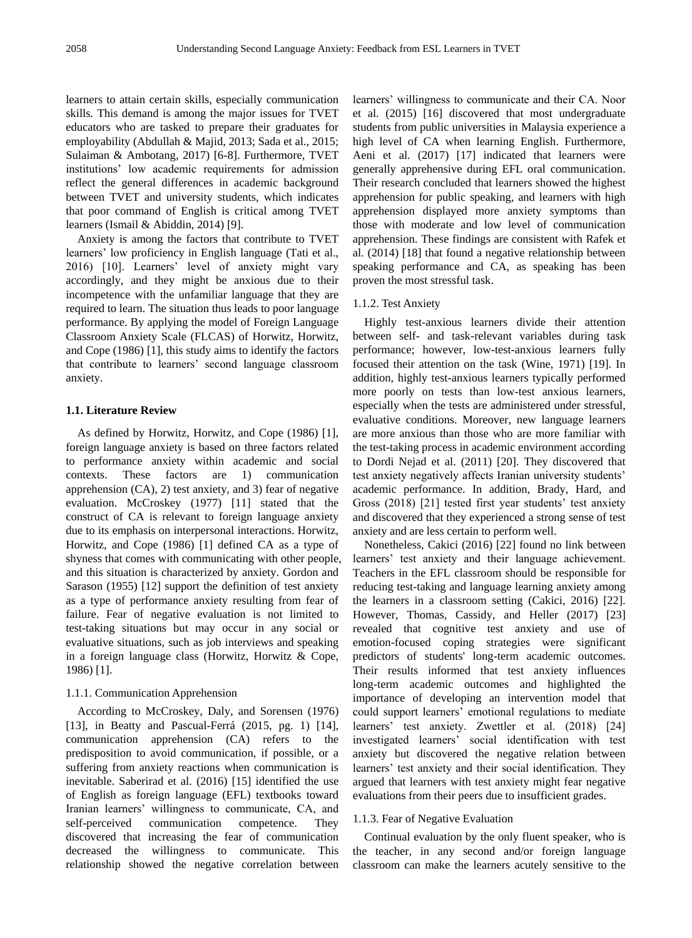learners to attain certain skills, especially communication skills. This demand is among the major issues for TVET educators who are tasked to prepare their graduates for employability (Abdullah & Majid, 2013; Sada et al., 2015; Sulaiman & Ambotang, 2017) [6-8]. Furthermore, TVET institutions' low academic requirements for admission reflect the general differences in academic background between TVET and university students, which indicates that poor command of English is critical among TVET learners (Ismail & Abiddin, 2014) [9].

Anxiety is among the factors that contribute to TVET learners' low proficiency in English language (Tati et al., 2016) [10]. Learners' level of anxiety might vary accordingly, and they might be anxious due to their incompetence with the unfamiliar language that they are required to learn. The situation thus leads to poor language performance. By applying the model of Foreign Language Classroom Anxiety Scale (FLCAS) of Horwitz, Horwitz, and Cope (1986) [1], this study aims to identify the factors that contribute to learners' second language classroom anxiety.

### **1.1. Literature Review**

As defined by Horwitz, Horwitz, and Cope (1986) [1], foreign language anxiety is based on three factors related to performance anxiety within academic and social contexts. These factors are 1) communication apprehension (CA), 2) test anxiety, and 3) fear of negative evaluation. McCroskey (1977) [11] stated that the construct of CA is relevant to foreign language anxiety due to its emphasis on interpersonal interactions. Horwitz, Horwitz, and Cope (1986) [1] defined CA as a type of shyness that comes with communicating with other people, and this situation is characterized by anxiety. Gordon and Sarason (1955) [12] support the definition of test anxiety as a type of performance anxiety resulting from fear of failure. Fear of negative evaluation is not limited to test-taking situations but may occur in any social or evaluative situations, such as job interviews and speaking in a foreign language class (Horwitz, Horwitz & Cope, 1986) [1].

### 1.1.1. Communication Apprehension

According to McCroskey, Daly, and Sorensen (1976) [13], in Beatty and Pascual-Ferrá (2015, pg. 1) [14], communication apprehension (CA) refers to the predisposition to avoid communication, if possible, or a suffering from anxiety reactions when communication is inevitable. Saberirad et al. (2016) [15] identified the use of English as foreign language (EFL) textbooks toward Iranian learners' willingness to communicate, CA, and self-perceived communication competence. They discovered that increasing the fear of communication decreased the willingness to communicate. This relationship showed the negative correlation between

learners' willingness to communicate and their CA. Noor et al. (2015) [16] discovered that most undergraduate students from public universities in Malaysia experience a high level of CA when learning English. Furthermore, Aeni et al. (2017) [17] indicated that learners were generally apprehensive during EFL oral communication. Their research concluded that learners showed the highest apprehension for public speaking, and learners with high apprehension displayed more anxiety symptoms than those with moderate and low level of communication apprehension. These findings are consistent with Rafek et al. (2014) [18] that found a negative relationship between speaking performance and CA, as speaking has been proven the most stressful task.

#### 1.1.2. Test Anxiety

Highly test-anxious learners divide their attention between self- and task-relevant variables during task performance; however, low-test-anxious learners fully focused their attention on the task (Wine, 1971) [19]. In addition, highly test-anxious learners typically performed more poorly on tests than low-test anxious learners, especially when the tests are administered under stressful, evaluative conditions. Moreover, new language learners are more anxious than those who are more familiar with the test-taking process in academic environment according to Dordi Nejad et al. (2011) [20]. They discovered that test anxiety negatively affects Iranian university students' academic performance. In addition, Brady, Hard, and Gross (2018) [21] tested first year students' test anxiety and discovered that they experienced a strong sense of test anxiety and are less certain to perform well.

Nonetheless, Cakici (2016) [22] found no link between learners' test anxiety and their language achievement. Teachers in the EFL classroom should be responsible for reducing test-taking and language learning anxiety among the learners in a classroom setting (Cakici, 2016) [22]. However, Thomas, Cassidy, and Heller (2017) [23] revealed that cognitive test anxiety and use of emotion-focused coping strategies were significant predictors of students' long-term academic outcomes. Their results informed that test anxiety influences long-term academic outcomes and highlighted the importance of developing an intervention model that could support learners' emotional regulations to mediate learners' test anxiety. Zwettler et al. (2018) [24] investigated learners' social identification with test anxiety but discovered the negative relation between learners' test anxiety and their social identification. They argued that learners with test anxiety might fear negative evaluations from their peers due to insufficient grades.

#### 1.1.3. Fear of Negative Evaluation

Continual evaluation by the only fluent speaker, who is the teacher, in any second and/or foreign language classroom can make the learners acutely sensitive to the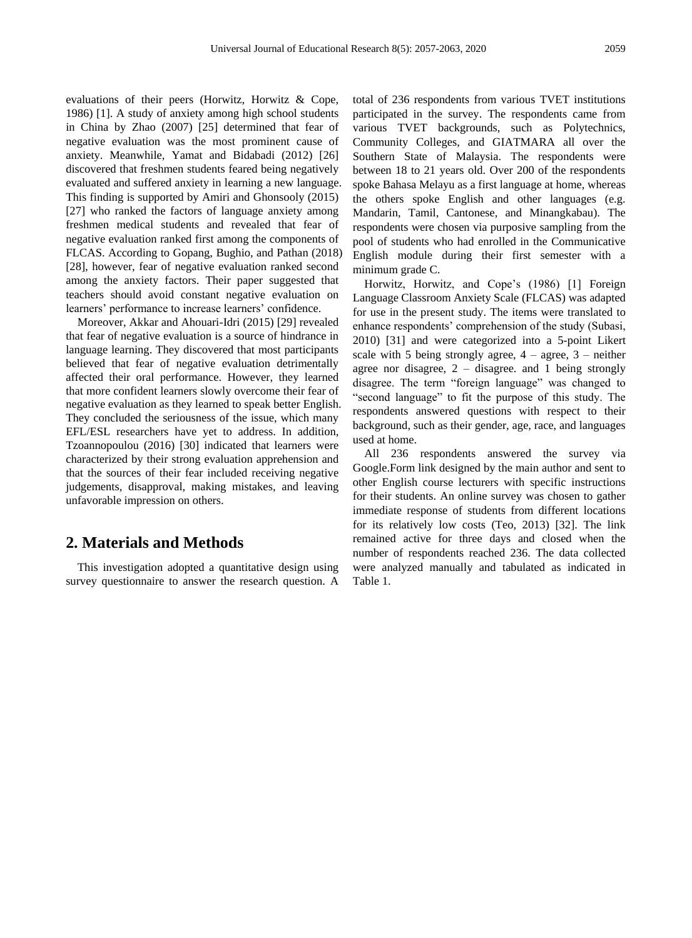evaluations of their peers (Horwitz, Horwitz & Cope, 1986) [1]. A study of anxiety among high school students in China by Zhao (2007) [25] determined that fear of negative evaluation was the most prominent cause of anxiety. Meanwhile, Yamat and Bidabadi (2012) [26] discovered that freshmen students feared being negatively evaluated and suffered anxiety in learning a new language. This finding is supported by Amiri and Ghonsooly (2015) [27] who ranked the factors of language anxiety among freshmen medical students and revealed that fear of negative evaluation ranked first among the components of FLCAS. According to Gopang, Bughio, and Pathan (2018) [28], however, fear of negative evaluation ranked second among the anxiety factors. Their paper suggested that teachers should avoid constant negative evaluation on learners' performance to increase learners' confidence.

Moreover, Akkar and Ahouari-Idri (2015) [29] revealed that fear of negative evaluation is a source of hindrance in language learning. They discovered that most participants believed that fear of negative evaluation detrimentally affected their oral performance. However, they learned that more confident learners slowly overcome their fear of negative evaluation as they learned to speak better English. They concluded the seriousness of the issue, which many EFL/ESL researchers have yet to address. In addition, Tzoannopoulou (2016) [30] indicated that learners were characterized by their strong evaluation apprehension and that the sources of their fear included receiving negative judgements, disapproval, making mistakes, and leaving unfavorable impression on others.

## **2. Materials and Methods**

This investigation adopted a quantitative design using survey questionnaire to answer the research question. A total of 236 respondents from various TVET institutions participated in the survey. The respondents came from various TVET backgrounds, such as Polytechnics, Community Colleges, and GIATMARA all over the Southern State of Malaysia. The respondents were between 18 to 21 years old. Over 200 of the respondents spoke Bahasa Melayu as a first language at home, whereas the others spoke English and other languages (e.g. Mandarin, Tamil, Cantonese, and Minangkabau). The respondents were chosen via purposive sampling from the pool of students who had enrolled in the Communicative English module during their first semester with a minimum grade C.

Horwitz, Horwitz, and Cope's (1986) [1] Foreign Language Classroom Anxiety Scale (FLCAS) was adapted for use in the present study. The items were translated to enhance respondents' comprehension of the study (Subasi, 2010) [31] and were categorized into a 5-point Likert scale with 5 being strongly agree,  $4 - \text{agree}$ ,  $3 - \text{neither}$ agree nor disagree, 2 – disagree. and 1 being strongly disagree. The term "foreign language" was changed to "second language" to fit the purpose of this study. The respondents answered questions with respect to their background, such as their gender, age, race, and languages used at home.

All 236 respondents answered the survey via Google.Form link designed by the main author and sent to other English course lecturers with specific instructions for their students. An online survey was chosen to gather immediate response of students from different locations for its relatively low costs (Teo, 2013) [32]. The link remained active for three days and closed when the number of respondents reached 236. The data collected were analyzed manually and tabulated as indicated in Table 1.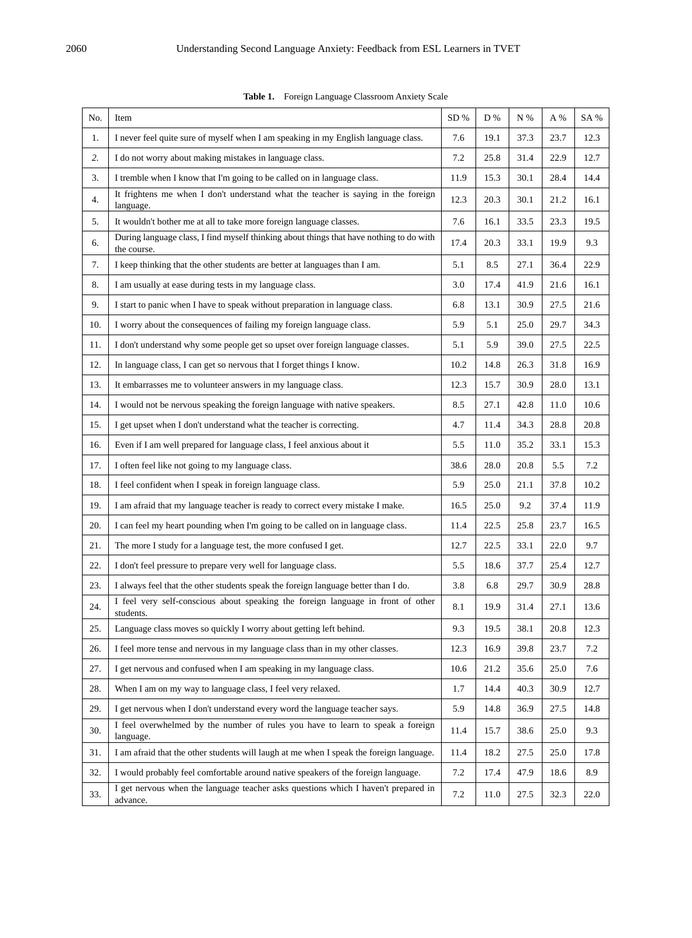| No. | Item                                                                                                   | SD%     | D %  | N %  | A %  | SA % |
|-----|--------------------------------------------------------------------------------------------------------|---------|------|------|------|------|
| 1.  | I never feel quite sure of myself when I am speaking in my English language class.                     | 7.6     | 19.1 | 37.3 | 23.7 | 12.3 |
| 2.  | I do not worry about making mistakes in language class.                                                | 7.2     | 25.8 | 31.4 | 22.9 | 12.7 |
| 3.  | I tremble when I know that I'm going to be called on in language class.                                | 11.9    | 15.3 | 30.1 | 28.4 | 14.4 |
| 4.  | It frightens me when I don't understand what the teacher is saying in the foreign<br>language.         | 12.3    | 20.3 | 30.1 | 21.2 | 16.1 |
| 5.  | It wouldn't bother me at all to take more foreign language classes.                                    | 7.6     | 16.1 | 33.5 | 23.3 | 19.5 |
| 6.  | During language class, I find myself thinking about things that have nothing to do with<br>the course. | 17.4    | 20.3 | 33.1 | 19.9 | 9.3  |
| 7.  | I keep thinking that the other students are better at languages than I am.                             | 5.1     | 8.5  | 27.1 | 36.4 | 22.9 |
| 8.  | I am usually at ease during tests in my language class.                                                | 3.0     | 17.4 | 41.9 | 21.6 | 16.1 |
| 9.  | I start to panic when I have to speak without preparation in language class.                           | 6.8     | 13.1 | 30.9 | 27.5 | 21.6 |
| 10. | I worry about the consequences of failing my foreign language class.                                   | 5.9     | 5.1  | 25.0 | 29.7 | 34.3 |
| 11. | I don't understand why some people get so upset over foreign language classes.                         | 5.1     | 5.9  | 39.0 | 27.5 | 22.5 |
| 12. | In language class, I can get so nervous that I forget things I know.                                   | 10.2    | 14.8 | 26.3 | 31.8 | 16.9 |
| 13. | It embarrasses me to volunteer answers in my language class.                                           | 12.3    | 15.7 | 30.9 | 28.0 | 13.1 |
| 14. | I would not be nervous speaking the foreign language with native speakers.                             | 8.5     | 27.1 | 42.8 | 11.0 | 10.6 |
| 15. | I get upset when I don't understand what the teacher is correcting.                                    | 4.7     | 11.4 | 34.3 | 28.8 | 20.8 |
| 16. | Even if I am well prepared for language class, I feel anxious about it                                 | 5.5     | 11.0 | 35.2 | 33.1 | 15.3 |
| 17. | I often feel like not going to my language class.                                                      | 38.6    | 28.0 | 20.8 | 5.5  | 7.2  |
| 18. | I feel confident when I speak in foreign language class.                                               | 5.9     | 25.0 | 21.1 | 37.8 | 10.2 |
| 19. | I am afraid that my language teacher is ready to correct every mistake I make.                         | 16.5    | 25.0 | 9.2  | 37.4 | 11.9 |
| 20. | I can feel my heart pounding when I'm going to be called on in language class.                         | 11.4    | 22.5 | 25.8 | 23.7 | 16.5 |
| 21. | The more I study for a language test, the more confused I get.                                         | 12.7    | 22.5 | 33.1 | 22.0 | 9.7  |
| 22. | I don't feel pressure to prepare very well for language class.                                         | $5.5\,$ | 18.6 | 37.7 | 25.4 | 12.7 |
| 23. | I always feel that the other students speak the foreign language better than I do.                     | 3.8     | 6.8  | 29.7 | 30.9 | 28.8 |
| 24. | I feel very self-conscious about speaking the foreign language in front of other<br>students.          | 8.1     | 19.9 | 31.4 | 27.1 | 13.6 |
| 25. | Language class moves so quickly I worry about getting left behind.                                     | 9.3     | 19.5 | 38.1 | 20.8 | 12.3 |
| 26. | I feel more tense and nervous in my language class than in my other classes.                           | 12.3    | 16.9 | 39.8 | 23.7 | 7.2  |
| 27. | I get nervous and confused when I am speaking in my language class.                                    | 10.6    | 21.2 | 35.6 | 25.0 | 7.6  |
| 28. | When I am on my way to language class, I feel very relaxed.                                            | 1.7     | 14.4 | 40.3 | 30.9 | 12.7 |
| 29. | I get nervous when I don't understand every word the language teacher says.                            | 5.9     | 14.8 | 36.9 | 27.5 | 14.8 |
| 30. | I feel overwhelmed by the number of rules you have to learn to speak a foreign<br>language.            | 11.4    | 15.7 | 38.6 | 25.0 | 9.3  |
| 31. | I am afraid that the other students will laugh at me when I speak the foreign language.                | 11.4    | 18.2 | 27.5 | 25.0 | 17.8 |
| 32. | I would probably feel comfortable around native speakers of the foreign language.                      | 7.2     | 17.4 | 47.9 | 18.6 | 8.9  |
| 33. | I get nervous when the language teacher asks questions which I haven't prepared in<br>advance.         | 7.2     | 11.0 | 27.5 | 32.3 | 22.0 |

**Table 1.** Foreign Language Classroom Anxiety Scale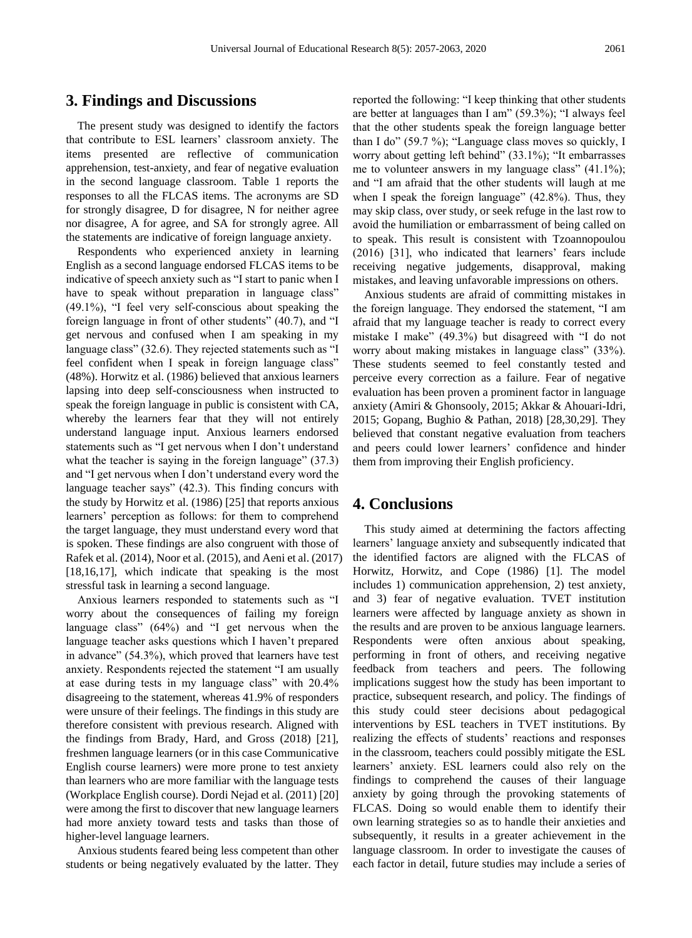## **3. Findings and Discussions**

The present study was designed to identify the factors that contribute to ESL learners' classroom anxiety. The items presented are reflective of communication apprehension, test-anxiety, and fear of negative evaluation in the second language classroom. Table 1 reports the responses to all the FLCAS items. The acronyms are SD for strongly disagree, D for disagree, N for neither agree nor disagree, A for agree, and SA for strongly agree. All the statements are indicative of foreign language anxiety.

Respondents who experienced anxiety in learning English as a second language endorsed FLCAS items to be indicative of speech anxiety such as "I start to panic when I have to speak without preparation in language class" (49.1%), "I feel very self-conscious about speaking the foreign language in front of other students" (40.7), and "I get nervous and confused when I am speaking in my language class" (32.6). They rejected statements such as "I feel confident when I speak in foreign language class" (48%). Horwitz et al. (1986) believed that anxious learners lapsing into deep self-consciousness when instructed to speak the foreign language in public is consistent with CA, whereby the learners fear that they will not entirely understand language input. Anxious learners endorsed statements such as "I get nervous when I don't understand what the teacher is saying in the foreign language" (37.3) and "I get nervous when I don't understand every word the language teacher says" (42.3). This finding concurs with the study by Horwitz et al. (1986) [25] that reports anxious learners' perception as follows: for them to comprehend the target language, they must understand every word that is spoken. These findings are also congruent with those of Rafek et al. (2014), Noor et al. (2015), and Aeni et al. (2017) [18,16,17], which indicate that speaking is the most stressful task in learning a second language.

Anxious learners responded to statements such as "I worry about the consequences of failing my foreign language class" (64%) and "I get nervous when the language teacher asks questions which I haven't prepared in advance" (54.3%), which proved that learners have test anxiety. Respondents rejected the statement "I am usually at ease during tests in my language class" with 20.4% disagreeing to the statement, whereas 41.9% of responders were unsure of their feelings. The findings in this study are therefore consistent with previous research. Aligned with the findings from Brady, Hard, and Gross (2018) [21], freshmen language learners (or in this case Communicative English course learners) were more prone to test anxiety than learners who are more familiar with the language tests (Workplace English course). Dordi Nejad et al. (2011) [20] were among the first to discover that new language learners had more anxiety toward tests and tasks than those of higher-level language learners.

Anxious students feared being less competent than other students or being negatively evaluated by the latter. They

reported the following: "I keep thinking that other students are better at languages than I am" (59.3%); "I always feel that the other students speak the foreign language better than I do" (59.7 %); "Language class moves so quickly, I worry about getting left behind" (33.1%); "It embarrasses me to volunteer answers in my language class" (41.1%); and "I am afraid that the other students will laugh at me when I speak the foreign language" (42.8%). Thus, they may skip class, over study, or seek refuge in the last row to avoid the humiliation or embarrassment of being called on to speak. This result is consistent with Tzoannopoulou (2016) [31], who indicated that learners' fears include receiving negative judgements, disapproval, making mistakes, and leaving unfavorable impressions on others.

Anxious students are afraid of committing mistakes in the foreign language. They endorsed the statement, "I am afraid that my language teacher is ready to correct every mistake I make" (49.3%) but disagreed with "I do not worry about making mistakes in language class" (33%). These students seemed to feel constantly tested and perceive every correction as a failure. Fear of negative evaluation has been proven a prominent factor in language anxiety (Amiri & Ghonsooly, 2015; Akkar & Ahouari-Idri, 2015; Gopang, Bughio & Pathan, 2018) [28,30,29]. They believed that constant negative evaluation from teachers and peers could lower learners' confidence and hinder them from improving their English proficiency.

# **4. Conclusions**

This study aimed at determining the factors affecting learners' language anxiety and subsequently indicated that the identified factors are aligned with the FLCAS of Horwitz, Horwitz, and Cope (1986) [1]. The model includes 1) communication apprehension, 2) test anxiety, and 3) fear of negative evaluation. TVET institution learners were affected by language anxiety as shown in the results and are proven to be anxious language learners. Respondents were often anxious about speaking, performing in front of others, and receiving negative feedback from teachers and peers. The following implications suggest how the study has been important to practice, subsequent research, and policy. The findings of this study could steer decisions about pedagogical interventions by ESL teachers in TVET institutions. By realizing the effects of students' reactions and responses in the classroom, teachers could possibly mitigate the ESL learners' anxiety. ESL learners could also rely on the findings to comprehend the causes of their language anxiety by going through the provoking statements of FLCAS. Doing so would enable them to identify their own learning strategies so as to handle their anxieties and subsequently, it results in a greater achievement in the language classroom. In order to investigate the causes of each factor in detail, future studies may include a series of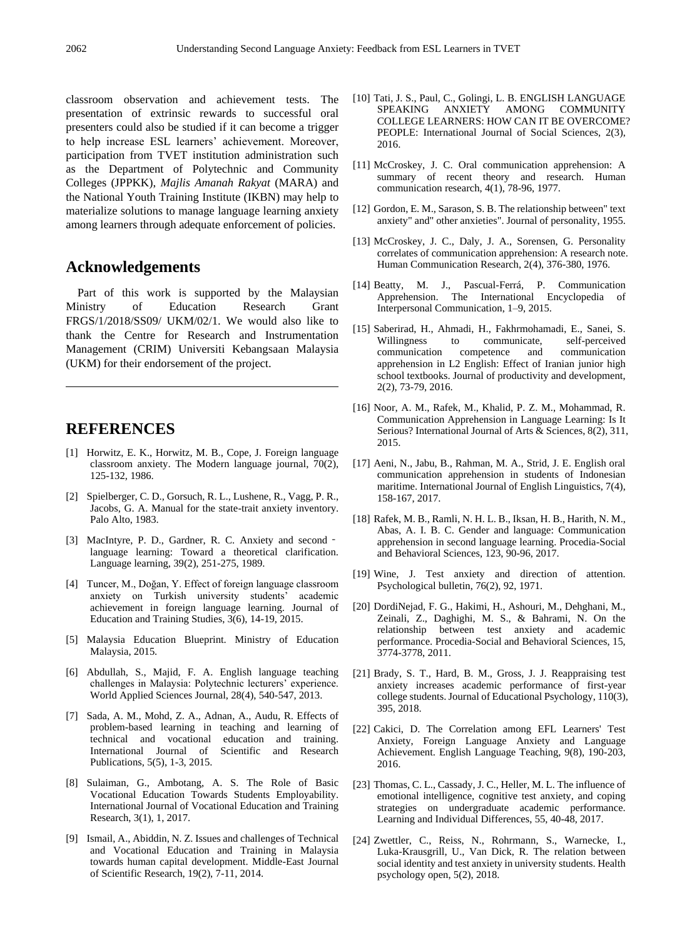classroom observation and achievement tests. The presentation of extrinsic rewards to successful oral presenters could also be studied if it can become a trigger to help increase ESL learners' achievement. Moreover, participation from TVET institution administration such as the Department of Polytechnic and Community Colleges (JPPKK), *Majlis Amanah Rakyat* (MARA) and the National Youth Training Institute (IKBN) may help to materialize solutions to manage language learning anxiety among learners through adequate enforcement of policies.

## **Acknowledgements**

Part of this work is supported by the Malaysian Ministry of Education Research Grant FRGS/1/2018/SS09/ UKM/02/1. We would also like to thank the Centre for Research and Instrumentation Management (CRIM) Universiti Kebangsaan Malaysia (UKM) for their endorsement of the project.

## **REFERENCES**

- [1] Horwitz, E. K., Horwitz, M. B., Cope, J. Foreign language classroom anxiety. The Modern language journal, 70(2), 125-132, 1986.
- [2] Spielberger, C. D., Gorsuch, R. L., Lushene, R., Vagg, P. R., Jacobs, G. A. Manual for the state-trait anxiety inventory. Palo Alto, 1983.
- [3] MacIntyre, P. D., Gardner, R. C. Anxiety and second language learning: Toward a theoretical clarification. Language learning, 39(2), 251-275, 1989.
- [4] Tuncer, M., Doğan, Y. Effect of foreign language classroom anxiety on Turkish university students' academic achievement in foreign language learning. Journal of Education and Training Studies, 3(6), 14-19, 2015.
- [5] Malaysia Education Blueprint. Ministry of Education Malaysia, 2015.
- [6] Abdullah, S., Majid, F. A. English language teaching challenges in Malaysia: Polytechnic lecturers' experience. World Applied Sciences Journal, 28(4), 540-547, 2013.
- [7] Sada, A. M., Mohd, Z. A., Adnan, A., Audu, R. Effects of problem-based learning in teaching and learning of technical and vocational education and training. International Journal of Scientific and Research Publications, 5(5), 1-3, 2015.
- [8] Sulaiman, G., Ambotang, A. S. The Role of Basic Vocational Education Towards Students Employability. International Journal of Vocational Education and Training Research, 3(1), 1, 2017.
- [9] Ismail, A., Abiddin, N. Z. Issues and challenges of Technical and Vocational Education and Training in Malaysia towards human capital development. Middle-East Journal of Scientific Research, 19(2), 7-11, 2014.
- [10] Tati, J. S., Paul, C., Golingi, L. B. ENGLISH LANGUAGE AMONG COMMUNITY COLLEGE LEARNERS: HOW CAN IT BE OVERCOME? PEOPLE: International Journal of Social Sciences, 2(3), 2016.
- [11] McCroskey, J. C. Oral communication apprehension: A summary of recent theory and research. Human communication research, 4(1), 78-96, 1977.
- [12] Gordon, E. M., Sarason, S. B. The relationship between" text anxiety" and" other anxieties". Journal of personality, 1955.
- [13] McCroskey, J. C., Daly, J. A., Sorensen, G. Personality correlates of communication apprehension: A research note. Human Communication Research, 2(4), 376-380, 1976.
- [14] Beatty, M. J., Pascual-Ferrá, P. Communication Apprehension. The International Encyclopedia of Interpersonal Communication, 1–9, 2015.
- [15] Saberirad, H., Ahmadi, H., Fakhrmohamadi, E., Sanei, S. Willingness to communicate, self-perceived communication competence and communication apprehension in L2 English: Effect of Iranian junior high school textbooks. Journal of productivity and development, 2(2), 73-79, 2016.
- [16] Noor, A. M., Rafek, M., Khalid, P. Z. M., Mohammad, R. Communication Apprehension in Language Learning: Is It Serious? International Journal of Arts & Sciences, 8(2), 311, 2015.
- [17] Aeni, N., Jabu, B., Rahman, M. A., Strid, J. E. English oral communication apprehension in students of Indonesian maritime. International Journal of English Linguistics, 7(4), 158-167, 2017.
- [18] Rafek, M. B., Ramli, N. H. L. B., Iksan, H. B., Harith, N. M., Abas, A. I. B. C. Gender and language: Communication apprehension in second language learning. Procedia-Social and Behavioral Sciences, 123, 90-96, 2017.
- [19] Wine, J. Test anxiety and direction of attention. Psychological bulletin, 76(2), 92, 1971.
- [20] DordiNejad, F. G., Hakimi, H., Ashouri, M., Dehghani, M., Zeinali, Z., Daghighi, M. S., & Bahrami, N. On the relationship between test anxiety and academic performance. Procedia-Social and Behavioral Sciences, 15, 3774-3778, 2011.
- [21] Brady, S. T., Hard, B. M., Gross, J. J. Reappraising test anxiety increases academic performance of first-year college students. Journal of Educational Psychology, 110(3), 395, 2018.
- [22] Cakici, D. The Correlation among EFL Learners' Test Anxiety, Foreign Language Anxiety and Language Achievement. English Language Teaching, 9(8), 190-203, 2016.
- [23] Thomas, C. L., Cassady, J. C., Heller, M. L. The influence of emotional intelligence, cognitive test anxiety, and coping strategies on undergraduate academic performance. Learning and Individual Differences, 55, 40-48, 2017.
- [24] Zwettler, C., Reiss, N., Rohrmann, S., Warnecke, I., Luka-Krausgrill, U., Van Dick, R. The relation between social identity and test anxiety in university students. Health psychology open, 5(2), 2018.